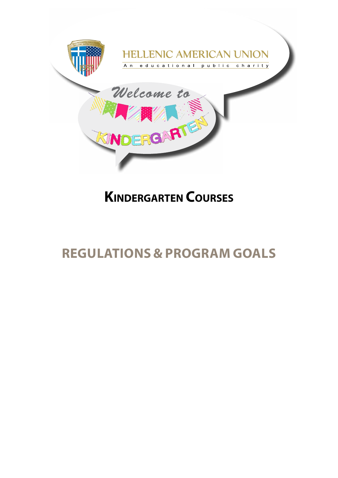

# **Kindergarten Courses**

# **Regulations & Program Goals**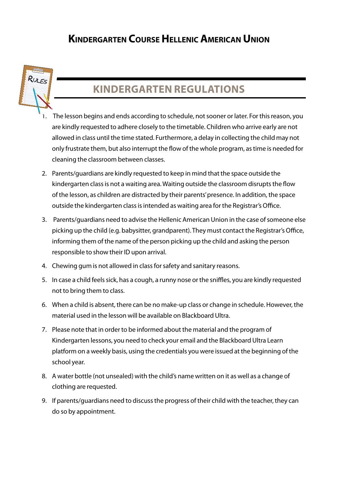### **Kindergarten Course HellenicAmerican Union**



## **Kindergarten Regulations**

- The lesson begins and ends according to schedule, not sooner or later. For this reason, you are kindly requested to adhere closely to the timetable. Children who arrive early are not allowed in class until the time stated. Furthermore, a delay in collecting the child may not only frustrate them, but also interrupt the flow of the whole program, as time is needed for cleaning the classroom between classes.
- 2. Parents/guardians are kindly requested to keep in mind that the space outside the kindergarten class is not a waiting area. Waiting outside the classroom disrupts the flow of the lesson, as children are distracted by their parents' presence. In addition, the space outside the kindergarten class is intended as waiting area for the Registrar's Office.
- 3. Parents/guardians need to advise the Hellenic American Union in the case of someone else picking up the child (e.g. babysitter, grandparent). They must contact the Registrar's Office, informing them of the name of the person picking up the child and asking the person responsible to show their ID upon arrival.
- 4. Chewing gum is not allowed in class for safety and sanitary reasons.
- 5. In case a child feels sick, has a cough, a runny nose or the sniffles, you are kindly requested not to bring them to class.
- 6. When a child is absent, there can be no make-up class or change in schedule. However, the material used in the lesson will be available on Blackboard Ultra.
- 7. Please note that in order to be informed about the material and the program of Kindergarten lessons, you need to check your email and the Blackboard Ultra Learn platform on a weekly basis, using the credentials you were issued at the beginning of the school year.
- 8. A water bottle (not unsealed) with the child's name written on it as well as a change of clothing are requested.
- 9. If parents/guardians need to discuss the progress of their child with the teacher, they can do so by appointment.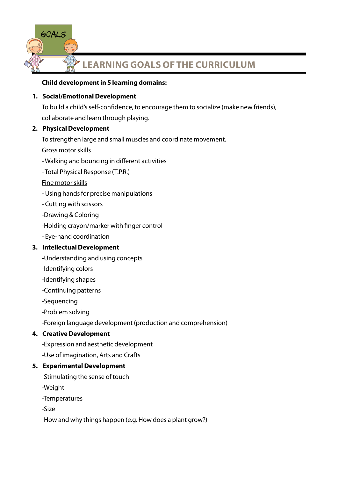

#### **Child development in 5 learning domains:**

#### **1. Social/Emotional Development**

To build a child's self-confidence, to encourage them to socialize (make new friends), collaborate and learn through playing.

#### **2. Physical Development**

To strengthen large and small muscles and coordinate movement.

Gross motor skills

- Walking and bouncing in different activities
- Total Physical Response (T.P.R.)
- Fine motor skills
- Using hands for precise manipulations
- Cutting with scissors
- -Drawing & Coloring
- -Holding crayon/marker with finger control
- Eye-hand coordination

#### **3. Intellectual Development**

- **-**Understanding and using concepts
- -Identifying colors
- -Identifying shapes
- -Continuing patterns
- -Sequencing
- -Problem solving

-Foreign language development (production and comprehension)

#### **4. Creative Development**

- -Expression and aesthetic development
- -Use of imagination, Arts and Crafts

#### **5. Experimental Development**

- -Stimulating the sense of touch
- -Weight
- -Temperatures
- -Size
- -How and why things happen (e.g. How does a plant grow?)